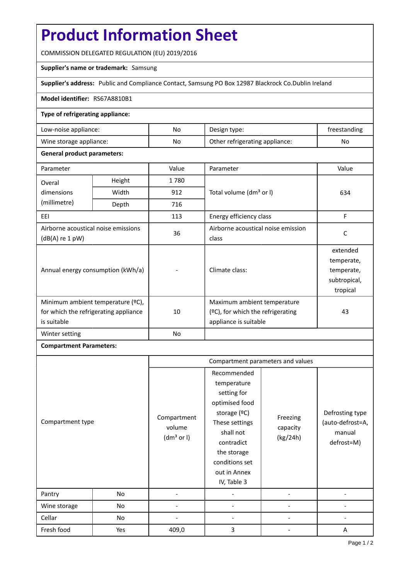# **Product Information Sheet**

COMMISSION DELEGATED REGULATION (EU) 2019/2016

## **Supplier's name or trademark:** Samsung

**Supplier's address:** Public and Compliance Contact, Samsung PO Box 12987 Blackrock Co.Dublin Ireland

#### **Model identifier:** RS67A8810B1

### **Type of refrigerating appliance:**

| Low-noise appliance:    | No | Design type:                   | treestanding |
|-------------------------|----|--------------------------------|--------------|
| Wine storage appliance: | No | Other refrigerating appliance: | No           |

### **General product parameters:**

| Parameter                                                                                 |        | Value | Parameter                                                                                    | Value                                                            |
|-------------------------------------------------------------------------------------------|--------|-------|----------------------------------------------------------------------------------------------|------------------------------------------------------------------|
| Overal                                                                                    | Height | 1780  |                                                                                              | 634                                                              |
| dimensions<br>(millimetre)                                                                | Width  | 912   | Total volume (dm <sup>3</sup> or I)                                                          |                                                                  |
|                                                                                           | Depth  | 716   |                                                                                              |                                                                  |
| EEL                                                                                       |        | 113   | Energy efficiency class                                                                      | F                                                                |
| Airborne acoustical noise emissions<br>$(dB(A)$ re 1 pW)                                  |        | 36    | Airborne acoustical noise emission<br>class                                                  | C                                                                |
| Annual energy consumption (kWh/a)                                                         |        |       | Climate class:                                                                               | extended<br>temperate,<br>temperate,<br>subtropical,<br>tropical |
| Minimum ambient temperature (°C),<br>for which the refrigerating appliance<br>is suitable |        | 10    | Maximum ambient temperature<br>$(°C)$ , for which the refrigerating<br>appliance is suitable | 43                                                               |
| Winter setting                                                                            |        | No    |                                                                                              |                                                                  |

## **Compartment Parameters:**

|                  |     | Compartment parameters and values               |                                                                                                                                                                                          |                                  |                                                             |
|------------------|-----|-------------------------------------------------|------------------------------------------------------------------------------------------------------------------------------------------------------------------------------------------|----------------------------------|-------------------------------------------------------------|
| Compartment type |     | Compartment<br>volume<br>(dm <sup>3</sup> or I) | Recommended<br>temperature<br>setting for<br>optimised food<br>storage (ºC)<br>These settings<br>shall not<br>contradict<br>the storage<br>conditions set<br>out in Annex<br>IV, Table 3 | Freezing<br>capacity<br>(kg/24h) | Defrosting type<br>(auto-defrost=A,<br>manual<br>defrost=M) |
| Pantry           | No  |                                                 |                                                                                                                                                                                          |                                  |                                                             |
| Wine storage     | No  |                                                 |                                                                                                                                                                                          |                                  |                                                             |
| Cellar           | No  |                                                 |                                                                                                                                                                                          |                                  |                                                             |
| Fresh food       | Yes | 409,0                                           | 3                                                                                                                                                                                        |                                  | A                                                           |